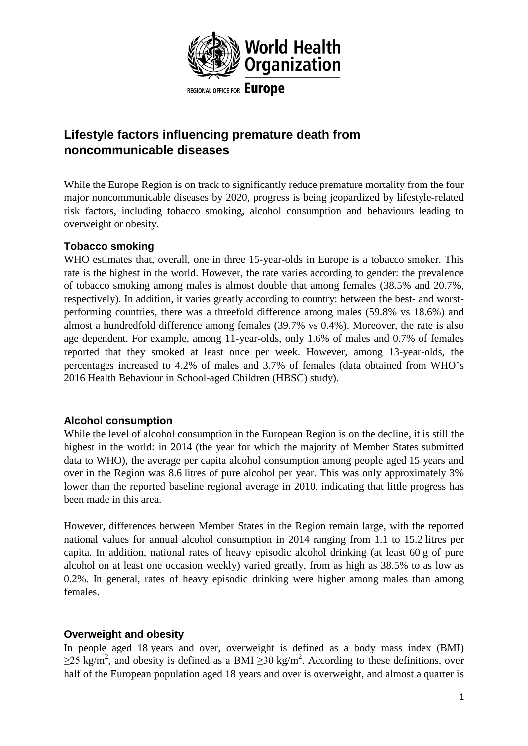

# **Lifestyle factors influencing premature death from noncommunicable diseases**

While the Europe Region is on track to significantly reduce premature mortality from the four major noncommunicable diseases by 2020, progress is being jeopardized by lifestyle-related risk factors, including tobacco smoking, alcohol consumption and behaviours leading to overweight or obesity.

## **Tobacco smoking**

WHO estimates that, overall, one in three 15-year-olds in Europe is a tobacco smoker. This rate is the highest in the world. However, the rate varies according to gender: the prevalence of tobacco smoking among males is almost double that among females (38.5% and 20.7%, respectively). In addition, it varies greatly according to country: between the best- and worstperforming countries, there was a threefold difference among males (59.8% vs 18.6%) and almost a hundredfold difference among females (39.7% vs 0.4%). Moreover, the rate is also age dependent. For example, among 11-year-olds, only 1.6% of males and 0.7% of females reported that they smoked at least once per week. However, among 13-year-olds, the percentages increased to 4.2% of males and 3.7% of females (data obtained from WHO's 2016 Health Behaviour in School-aged Children (HBSC) study).

#### **Alcohol consumption**

While the level of alcohol consumption in the European Region is on the decline, it is still the highest in the world: in 2014 (the year for which the majority of Member States submitted data to WHO), the average per capita alcohol consumption among people aged 15 years and over in the Region was 8.6 litres of pure alcohol per year. This was only approximately 3% lower than the reported baseline regional average in 2010, indicating that little progress has been made in this area.

However, differences between Member States in the Region remain large, with the reported national values for annual alcohol consumption in 2014 ranging from 1.1 to 15.2 litres per capita. In addition, national rates of heavy episodic alcohol drinking (at least 60 g of pure alcohol on at least one occasion weekly) varied greatly, from as high as 38.5% to as low as 0.2%. In general, rates of heavy episodic drinking were higher among males than among females.

## **Overweight and obesity**

In people aged 18 years and over, overweight is defined as a body mass index (BMI)  $\geq$ 25 kg/m<sup>2</sup>, and obesity is defined as a BMI  $\geq$ 30 kg/m<sup>2</sup>. According to these definitions, over half of the European population aged 18 years and over is overweight, and almost a quarter is